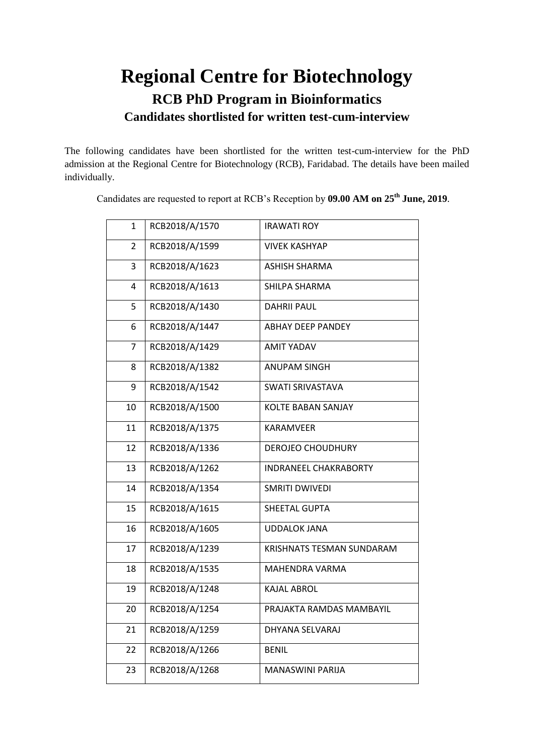## **Regional Centre for Biotechnology RCB PhD Program in Bioinformatics Candidates shortlisted for written test-cum-interview**

The following candidates have been shortlisted for the written test-cum-interview for the PhD admission at the Regional Centre for Biotechnology (RCB), Faridabad. The details have been mailed individually.

| 1              | RCB2018/A/1570 | <b>IRAWATI ROY</b>           |
|----------------|----------------|------------------------------|
| $\overline{2}$ | RCB2018/A/1599 | <b>VIVEK KASHYAP</b>         |
| 3              | RCB2018/A/1623 | ASHISH SHARMA                |
| 4              | RCB2018/A/1613 | SHILPA SHARMA                |
| 5              | RCB2018/A/1430 | <b>DAHRII PAUL</b>           |
| 6              | RCB2018/A/1447 | <b>ABHAY DEEP PANDEY</b>     |
| $\overline{7}$ | RCB2018/A/1429 | <b>AMIT YADAV</b>            |
| 8              | RCB2018/A/1382 | <b>ANUPAM SINGH</b>          |
| 9              | RCB2018/A/1542 | <b>SWATI SRIVASTAVA</b>      |
| 10             | RCB2018/A/1500 | <b>KOLTE BABAN SANJAY</b>    |
| 11             | RCB2018/A/1375 | KARAMVEER                    |
| 12             | RCB2018/A/1336 | <b>DEROJEO CHOUDHURY</b>     |
| 13             | RCB2018/A/1262 | <b>INDRANEEL CHAKRABORTY</b> |
| 14             | RCB2018/A/1354 | <b>SMRITI DWIVEDI</b>        |
| 15             | RCB2018/A/1615 | SHEETAL GUPTA                |
| 16             | RCB2018/A/1605 | <b>UDDALOK JANA</b>          |
| 17             | RCB2018/A/1239 | KRISHNATS TESMAN SUNDARAM    |
| 18             | RCB2018/A/1535 | MAHENDRA VARMA               |
| 19             | RCB2018/A/1248 | <b>KAJAL ABROL</b>           |
| 20             | RCB2018/A/1254 | PRAJAKTA RAMDAS MAMBAYIL     |
| 21             | RCB2018/A/1259 | DHYANA SELVARAJ              |
| 22             | RCB2018/A/1266 | <b>BENIL</b>                 |
| 23             | RCB2018/A/1268 | <b>MANASWINI PARIJA</b>      |

Candidates are requested to report at RCB's Reception by **09.00 AM on 25 th June, 2019**.